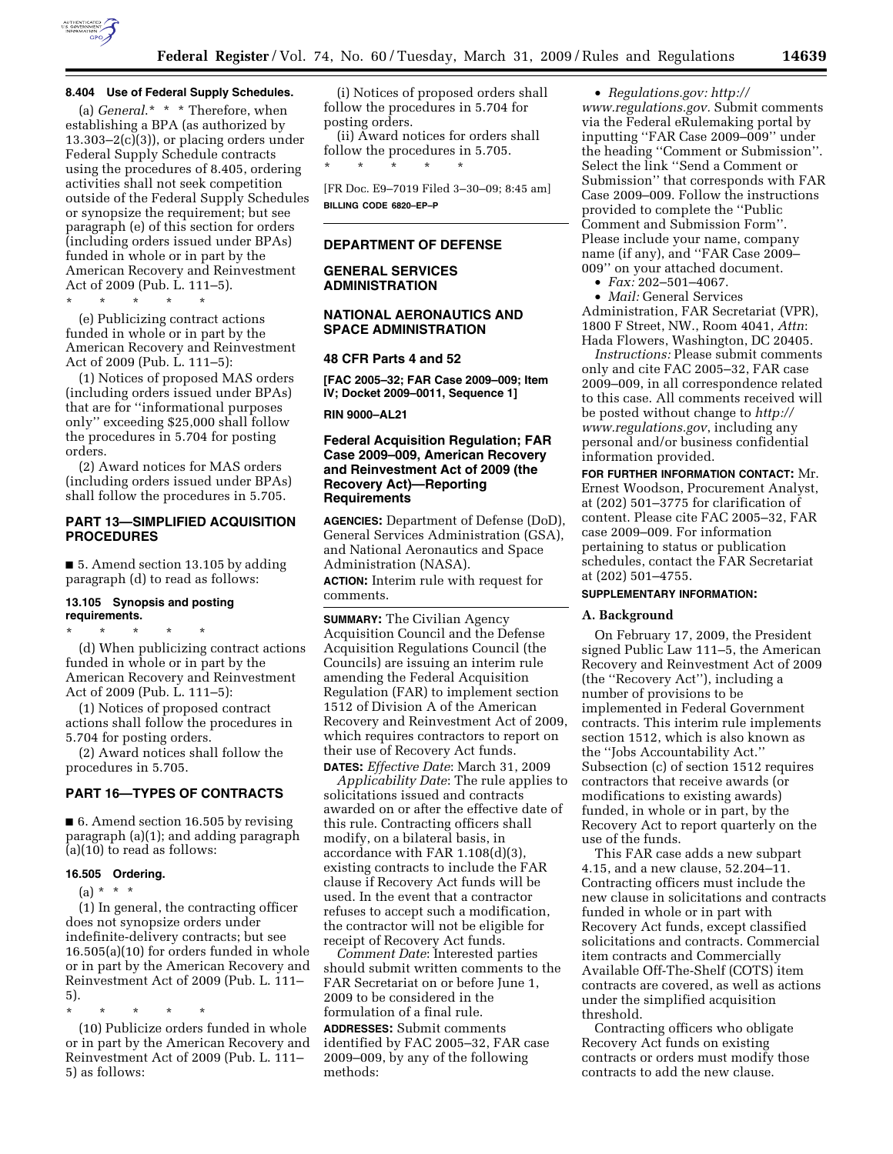

(a) *General*.\* \* \* Therefore, when establishing a BPA (as authorized by  $13.303-2(c)(3)$ , or placing orders under Federal Supply Schedule contracts using the procedures of 8.405, ordering activities shall not seek competition outside of the Federal Supply Schedules or synopsize the requirement; but see paragraph (e) of this section for orders (including orders issued under BPAs) funded in whole or in part by the American Recovery and Reinvestment Act of 2009 (Pub. L. 111–5).

\* \* \* \* \*

(e) Publicizing contract actions funded in whole or in part by the American Recovery and Reinvestment Act of 2009 (Pub. L. 111–5):

(1) Notices of proposed MAS orders (including orders issued under BPAs) that are for ''informational purposes only'' exceeding \$25,000 shall follow the procedures in 5.704 for posting orders.

(2) Award notices for MAS orders (including orders issued under BPAs) shall follow the procedures in 5.705.

# **PART 13—SIMPLIFIED ACQUISITION PROCEDURES**

■ 5. Amend section 13.105 by adding paragraph (d) to read as follows:

#### **13.105 Synopsis and posting requirements.**

\* \* \* \* \* (d) When publicizing contract actions funded in whole or in part by the American Recovery and Reinvestment Act of 2009 (Pub. L. 111–5):

(1) Notices of proposed contract actions shall follow the procedures in 5.704 for posting orders.

(2) Award notices shall follow the procedures in 5.705.

# **PART 16—TYPES OF CONTRACTS**

■ 6. Amend section 16.505 by revising paragraph (a)(1); and adding paragraph (a)(10) to read as follows:

#### **16.505 Ordering.**

 $(a) * * * *$ 

(1) In general, the contracting officer does not synopsize orders under indefinite-delivery contracts; but see 16.505(a)(10) for orders funded in whole or in part by the American Recovery and Reinvestment Act of 2009 (Pub. L. 111– 5).

\* \* \* \* \*

(10) Publicize orders funded in whole or in part by the American Recovery and Reinvestment Act of 2009 (Pub. L. 111– 5) as follows:

(i) Notices of proposed orders shall follow the procedures in 5.704 for posting orders.

(ii) Award notices for orders shall follow the procedures in 5.705. \* \* \* \* \*

[FR Doc. E9–7019 Filed 3–30–09; 8:45 am] **BILLING CODE 6820–EP–P** 

## **DEPARTMENT OF DEFENSE**

#### **GENERAL SERVICES ADMINISTRATION**

#### **NATIONAL AERONAUTICS AND SPACE ADMINISTRATION**

#### **48 CFR Parts 4 and 52**

**[FAC 2005–32; FAR Case 2009–009; Item IV; Docket 2009–0011, Sequence 1]** 

**RIN 9000–AL21** 

### **Federal Acquisition Regulation; FAR Case 2009–009, American Recovery and Reinvestment Act of 2009 (the Recovery Act)—Reporting Requirements**

**AGENCIES:** Department of Defense (DoD), General Services Administration (GSA), and National Aeronautics and Space Administration (NASA). **ACTION:** Interim rule with request for comments.

**SUMMARY:** The Civilian Agency Acquisition Council and the Defense Acquisition Regulations Council (the Councils) are issuing an interim rule amending the Federal Acquisition Regulation (FAR) to implement section 1512 of Division A of the American Recovery and Reinvestment Act of 2009, which requires contractors to report on their use of Recovery Act funds. **DATES:** *Effective Date*: March 31, 2009

*Applicability Date*: The rule applies to solicitations issued and contracts awarded on or after the effective date of this rule. Contracting officers shall modify, on a bilateral basis, in accordance with FAR 1.108(d)(3), existing contracts to include the FAR clause if Recovery Act funds will be used. In the event that a contractor refuses to accept such a modification, the contractor will not be eligible for receipt of Recovery Act funds.

*Comment Date*: Interested parties should submit written comments to the FAR Secretariat on or before June 1, 2009 to be considered in the formulation of a final rule. **ADDRESSES:** Submit comments identified by FAC 2005–32, FAR case 2009–009, by any of the following methods:

• *Regulations.gov: http://* 

*www.regulations.gov.* Submit comments via the Federal eRulemaking portal by inputting ''FAR Case 2009–009'' under the heading ''Comment or Submission''. Select the link ''Send a Comment or Submission'' that corresponds with FAR Case 2009–009. Follow the instructions provided to complete the ''Public Comment and Submission Form''. Please include your name, company name (if any), and ''FAR Case 2009– 009'' on your attached document.

• *Fax:* 202–501–4067.

• *Mail:* General Services

Administration, FAR Secretariat (VPR), 1800 F Street, NW., Room 4041, *Attn*: Hada Flowers, Washington, DC 20405.

*Instructions:* Please submit comments only and cite FAC 2005–32, FAR case 2009–009, in all correspondence related to this case. All comments received will be posted without change to *http:// www.regulations.gov*, including any personal and/or business confidential information provided.

**FOR FURTHER INFORMATION CONTACT:** Mr. Ernest Woodson, Procurement Analyst, at (202) 501–3775 for clarification of content. Please cite FAC 2005–32, FAR case 2009–009. For information pertaining to status or publication schedules, contact the FAR Secretariat at (202) 501–4755.

# **SUPPLEMENTARY INFORMATION:**

### **A. Background**

On February 17, 2009, the President signed Public Law 111–5, the American Recovery and Reinvestment Act of 2009 (the ''Recovery Act''), including a number of provisions to be implemented in Federal Government contracts. This interim rule implements section 1512, which is also known as the ''Jobs Accountability Act.'' Subsection (c) of section 1512 requires contractors that receive awards (or modifications to existing awards) funded, in whole or in part, by the Recovery Act to report quarterly on the use of the funds.

This FAR case adds a new subpart 4.15, and a new clause, 52.204–11. Contracting officers must include the new clause in solicitations and contracts funded in whole or in part with Recovery Act funds, except classified solicitations and contracts. Commercial item contracts and Commercially Available Off-The-Shelf (COTS) item contracts are covered, as well as actions under the simplified acquisition threshold.

Contracting officers who obligate Recovery Act funds on existing contracts or orders must modify those contracts to add the new clause.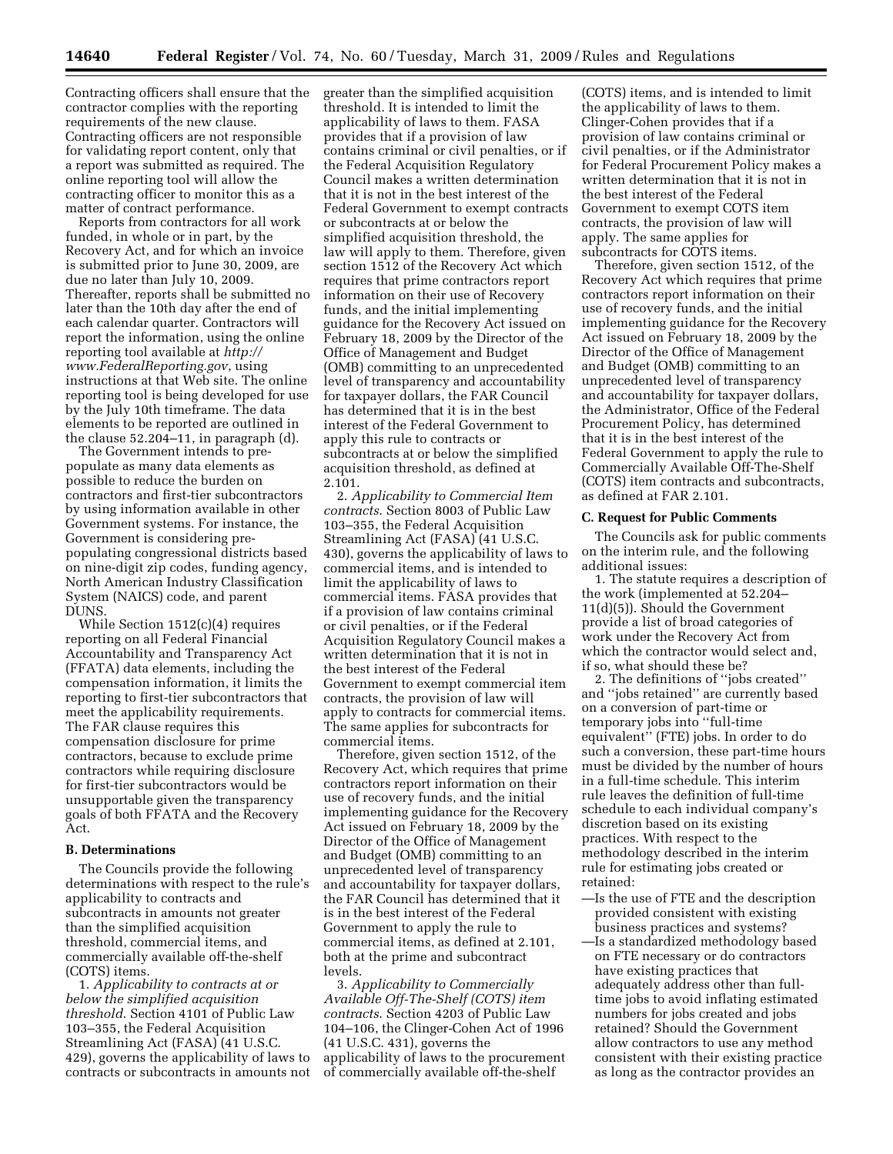Contracting officers shall ensure that the contractor complies with the reporting requirements of the new clause. Contracting officers are not responsible for validating report content, only that a report was submitted as required. The online reporting tool will allow the contracting officer to monitor this as a matter of contract performance.

Reports from contractors for all work funded, in whole or in part, by the Recovery Act, and for which an invoice is submitted prior to June 30, 2009, are due no later than July 10, 2009. Thereafter, reports shall be submitted no later than the 10th day after the end of each calendar quarter. Contractors will report the information, using the online reporting tool available at *http:// www.FederalReporting.gov*, using instructions at that Web site. The online reporting tool is being developed for use by the July 10th timeframe. The data elements to be reported are outlined in the clause 52.204–11, in paragraph (d).

The Government intends to prepopulate as many data elements as possible to reduce the burden on contractors and first-tier subcontractors by using information available in other Government systems. For instance, the Government is considering prepopulating congressional districts based on nine-digit zip codes, funding agency, North American Industry Classification System (NAICS) code, and parent DUNS.

While Section 1512(c)(4) requires reporting on all Federal Financial Accountability and Transparency Act (FFATA) data elements, including the compensation information, it limits the reporting to first-tier subcontractors that meet the applicability requirements. The FAR clause requires this compensation disclosure for prime contractors, because to exclude prime contractors while requiring disclosure for first-tier subcontractors would be unsupportable given the transparency goals of both FFATA and the Recovery Act.

#### **B. Determinations**

The Councils provide the following determinations with respect to the rule's applicability to contracts and subcontracts in amounts not greater than the simplified acquisition threshold, commercial items, and commercially available off-the-shelf (COTS) items.

1. *Applicability to contracts at or below the simplified acquisition threshold*. Section 4101 of Public Law 103–355, the Federal Acquisition Streamlining Act (FASA) (41 U.S.C. 429), governs the applicability of laws to contracts or subcontracts in amounts not greater than the simplified acquisition threshold. It is intended to limit the applicability of laws to them. FASA provides that if a provision of law contains criminal or civil penalties, or if the Federal Acquisition Regulatory Council makes a written determination that it is not in the best interest of the Federal Government to exempt contracts or subcontracts at or below the simplified acquisition threshold, the law will apply to them. Therefore, given section 1512 of the Recovery Act which requires that prime contractors report information on their use of Recovery funds, and the initial implementing guidance for the Recovery Act issued on February 18, 2009 by the Director of the Office of Management and Budget (OMB) committing to an unprecedented level of transparency and accountability for taxpayer dollars, the FAR Council has determined that it is in the best interest of the Federal Government to apply this rule to contracts or subcontracts at or below the simplified acquisition threshold, as defined at 2.101.

2. *Applicability to Commercial Item contracts*. Section 8003 of Public Law 103–355, the Federal Acquisition Streamlining Act (FASA) (41 U.S.C. 430), governs the applicability of laws to commercial items, and is intended to limit the applicability of laws to commercial items. FASA provides that if a provision of law contains criminal or civil penalties, or if the Federal Acquisition Regulatory Council makes a written determination that it is not in the best interest of the Federal Government to exempt commercial item contracts, the provision of law will apply to contracts for commercial items. The same applies for subcontracts for commercial items.

Therefore, given section 1512, of the Recovery Act, which requires that prime contractors report information on their use of recovery funds, and the initial implementing guidance for the Recovery Act issued on February 18, 2009 by the Director of the Office of Management and Budget (OMB) committing to an unprecedented level of transparency and accountability for taxpayer dollars, the FAR Council has determined that it is in the best interest of the Federal Government to apply the rule to commercial items, as defined at 2.101, both at the prime and subcontract levels.

3. *Applicability to Commercially Available Off-The-Shelf (COTS) item contracts*. Section 4203 of Public Law 104–106, the Clinger-Cohen Act of 1996 (41 U.S.C. 431), governs the applicability of laws to the procurement of commercially available off-the-shelf

(COTS) items, and is intended to limit the applicability of laws to them. Clinger-Cohen provides that if a provision of law contains criminal or civil penalties, or if the Administrator for Federal Procurement Policy makes a written determination that it is not in the best interest of the Federal Government to exempt COTS item contracts, the provision of law will apply. The same applies for subcontracts for COTS items.

Therefore, given section 1512, of the Recovery Act which requires that prime contractors report information on their use of recovery funds, and the initial implementing guidance for the Recovery Act issued on February 18, 2009 by the Director of the Office of Management and Budget (OMB) committing to an unprecedented level of transparency and accountability for taxpayer dollars, the Administrator, Office of the Federal Procurement Policy, has determined that it is in the best interest of the Federal Government to apply the rule to Commercially Available Off-The-Shelf (COTS) item contracts and subcontracts, as defined at FAR 2.101.

#### **C. Request for Public Comments**

The Councils ask for public comments on the interim rule, and the following additional issues:

1. The statute requires a description of the work (implemented at 52.204– 11(d)(5)). Should the Government provide a list of broad categories of work under the Recovery Act from which the contractor would select and, if so, what should these be?

2. The definitions of ''jobs created'' and ''jobs retained'' are currently based on a conversion of part-time or temporary jobs into ''full-time equivalent'' (FTE) jobs. In order to do such a conversion, these part-time hours must be divided by the number of hours in a full-time schedule. This interim rule leaves the definition of full-time schedule to each individual company's discretion based on its existing practices. With respect to the methodology described in the interim rule for estimating jobs created or retained:

- —Is the use of FTE and the description provided consistent with existing business practices and systems?
- —Is a standardized methodology based on FTE necessary or do contractors have existing practices that adequately address other than fulltime jobs to avoid inflating estimated numbers for jobs created and jobs retained? Should the Government allow contractors to use any method consistent with their existing practice as long as the contractor provides an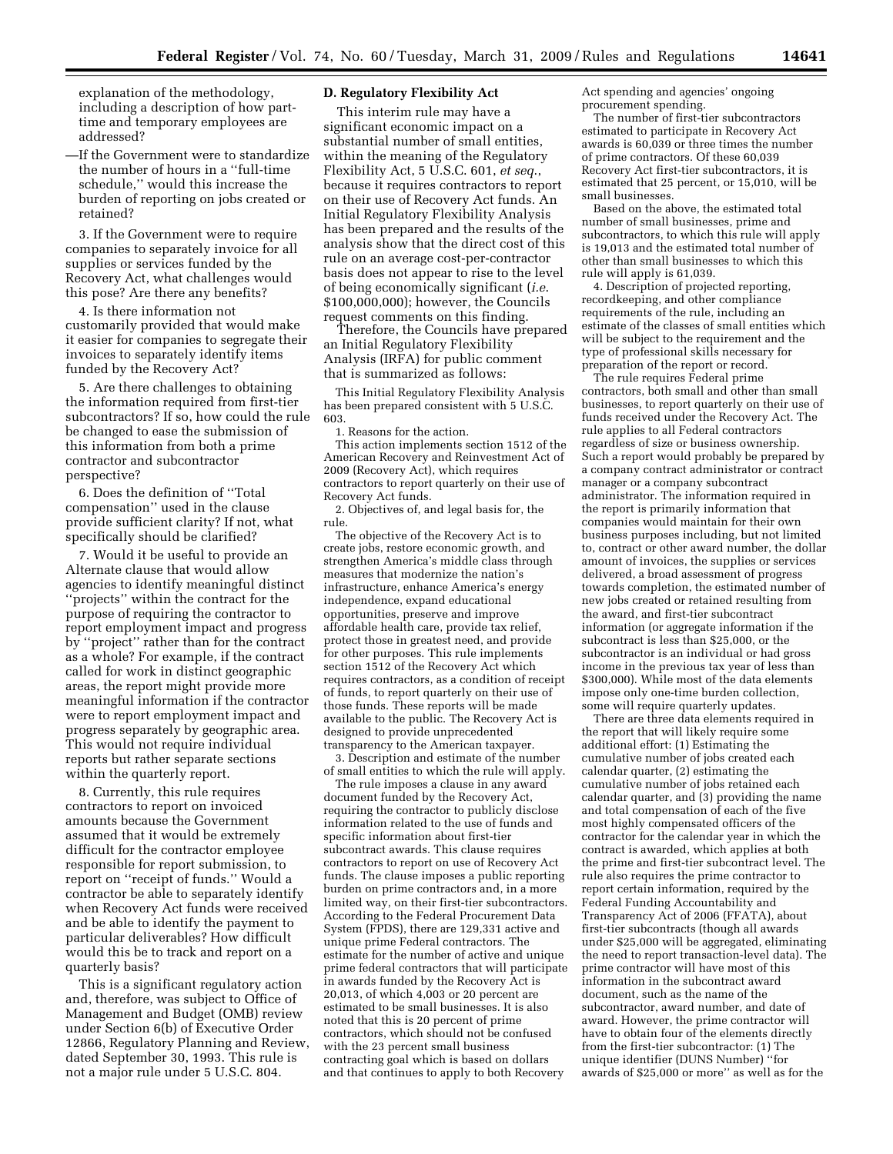explanation of the methodology, including a description of how parttime and temporary employees are addressed?

—If the Government were to standardize the number of hours in a ''full-time schedule,'' would this increase the burden of reporting on jobs created or retained?

3. If the Government were to require companies to separately invoice for all supplies or services funded by the Recovery Act, what challenges would this pose? Are there any benefits?

4. Is there information not customarily provided that would make it easier for companies to segregate their invoices to separately identify items funded by the Recovery Act?

5. Are there challenges to obtaining the information required from first-tier subcontractors? If so, how could the rule be changed to ease the submission of this information from both a prime contractor and subcontractor perspective?

6. Does the definition of ''Total compensation'' used in the clause provide sufficient clarity? If not, what specifically should be clarified?

7. Would it be useful to provide an Alternate clause that would allow agencies to identify meaningful distinct ''projects'' within the contract for the purpose of requiring the contractor to report employment impact and progress by ''project'' rather than for the contract as a whole? For example, if the contract called for work in distinct geographic areas, the report might provide more meaningful information if the contractor were to report employment impact and progress separately by geographic area. This would not require individual reports but rather separate sections within the quarterly report.

8. Currently, this rule requires contractors to report on invoiced amounts because the Government assumed that it would be extremely difficult for the contractor employee responsible for report submission, to report on ''receipt of funds.'' Would a contractor be able to separately identify when Recovery Act funds were received and be able to identify the payment to particular deliverables? How difficult would this be to track and report on a quarterly basis?

This is a significant regulatory action and, therefore, was subject to Office of Management and Budget (OMB) review under Section 6(b) of Executive Order 12866, Regulatory Planning and Review, dated September 30, 1993. This rule is not a major rule under 5 U.S.C. 804.

# **D. Regulatory Flexibility Act**

This interim rule may have a significant economic impact on a substantial number of small entities, within the meaning of the Regulatory Flexibility Act, 5 U.S.C. 601, *et seq*., because it requires contractors to report on their use of Recovery Act funds. An Initial Regulatory Flexibility Analysis has been prepared and the results of the analysis show that the direct cost of this rule on an average cost-per-contractor basis does not appear to rise to the level of being economically significant (*i.e*. \$100,000,000); however, the Councils request comments on this finding.

Therefore, the Councils have prepared an Initial Regulatory Flexibility Analysis (IRFA) for public comment that is summarized as follows:

This Initial Regulatory Flexibility Analysis has been prepared consistent with 5 U.S.C. 603.

1. Reasons for the action.

This action implements section 1512 of the American Recovery and Reinvestment Act of 2009 (Recovery Act), which requires contractors to report quarterly on their use of Recovery Act funds.

2. Objectives of, and legal basis for, the rule.

The objective of the Recovery Act is to create jobs, restore economic growth, and strengthen America's middle class through measures that modernize the nation's infrastructure, enhance America's energy independence, expand educational opportunities, preserve and improve affordable health care, provide tax relief, protect those in greatest need, and provide for other purposes. This rule implements section 1512 of the Recovery Act which requires contractors, as a condition of receipt of funds, to report quarterly on their use of those funds. These reports will be made available to the public. The Recovery Act is designed to provide unprecedented transparency to the American taxpayer.

3. Description and estimate of the number of small entities to which the rule will apply.

The rule imposes a clause in any award document funded by the Recovery Act, requiring the contractor to publicly disclose information related to the use of funds and specific information about first-tier subcontract awards. This clause requires contractors to report on use of Recovery Act funds. The clause imposes a public reporting burden on prime contractors and, in a more limited way, on their first-tier subcontractors. According to the Federal Procurement Data System (FPDS), there are 129,331 active and unique prime Federal contractors. The estimate for the number of active and unique prime federal contractors that will participate in awards funded by the Recovery Act is 20,013, of which 4,003 or 20 percent are estimated to be small businesses. It is also noted that this is 20 percent of prime contractors, which should not be confused with the 23 percent small business contracting goal which is based on dollars and that continues to apply to both Recovery

Act spending and agencies' ongoing procurement spending.

The number of first-tier subcontractors estimated to participate in Recovery Act awards is 60,039 or three times the number of prime contractors. Of these 60,039 Recovery Act first-tier subcontractors, it is estimated that 25 percent, or 15,010, will be small businesses.

Based on the above, the estimated total number of small businesses, prime and subcontractors, to which this rule will apply is 19,013 and the estimated total number of other than small businesses to which this rule will apply is 61,039.

4. Description of projected reporting, recordkeeping, and other compliance requirements of the rule, including an estimate of the classes of small entities which will be subject to the requirement and the type of professional skills necessary for preparation of the report or record.

The rule requires Federal prime contractors, both small and other than small businesses, to report quarterly on their use of funds received under the Recovery Act. The rule applies to all Federal contractors regardless of size or business ownership. Such a report would probably be prepared by a company contract administrator or contract manager or a company subcontract administrator. The information required in the report is primarily information that companies would maintain for their own business purposes including, but not limited to, contract or other award number, the dollar amount of invoices, the supplies or services delivered, a broad assessment of progress towards completion, the estimated number of new jobs created or retained resulting from the award, and first-tier subcontract information (or aggregate information if the subcontract is less than \$25,000, or the subcontractor is an individual or had gross income in the previous tax year of less than \$300,000). While most of the data elements impose only one-time burden collection, some will require quarterly updates.

There are three data elements required in the report that will likely require some additional effort: (1) Estimating the cumulative number of jobs created each calendar quarter, (2) estimating the cumulative number of jobs retained each calendar quarter, and (3) providing the name and total compensation of each of the five most highly compensated officers of the contractor for the calendar year in which the contract is awarded, which applies at both the prime and first-tier subcontract level. The rule also requires the prime contractor to report certain information, required by the Federal Funding Accountability and Transparency Act of 2006 (FFATA), about first-tier subcontracts (though all awards under \$25,000 will be aggregated, eliminating the need to report transaction-level data). The prime contractor will have most of this information in the subcontract award document, such as the name of the subcontractor, award number, and date of award. However, the prime contractor will have to obtain four of the elements directly from the first-tier subcontractor: (1) The unique identifier (DUNS Number) ''for awards of \$25,000 or more'' as well as for the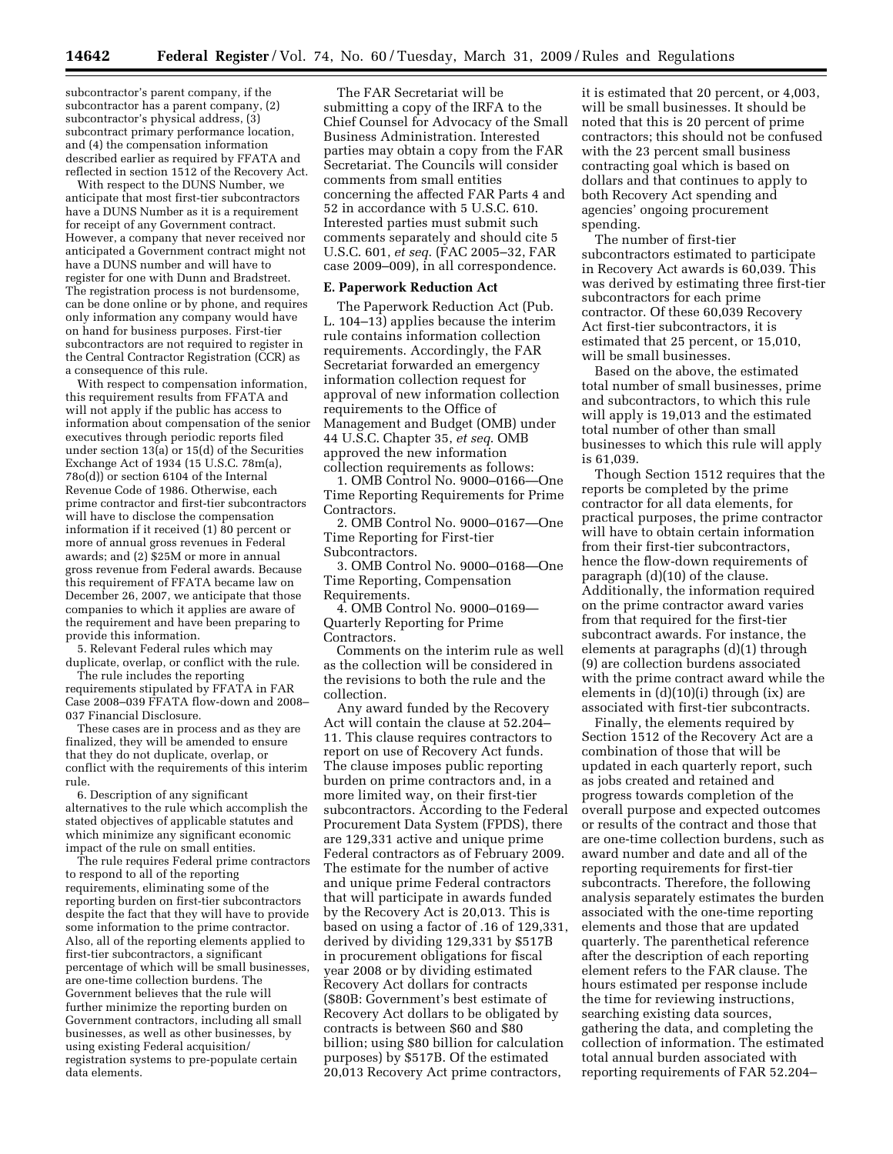subcontractor's parent company, if the subcontractor has a parent company, (2) subcontractor's physical address, (3) subcontract primary performance location, and (4) the compensation information described earlier as required by FFATA and reflected in section 1512 of the Recovery Act.

With respect to the DUNS Number, we anticipate that most first-tier subcontractors have a DUNS Number as it is a requirement for receipt of any Government contract. However, a company that never received nor anticipated a Government contract might not have a DUNS number and will have to register for one with Dunn and Bradstreet. The registration process is not burdensome, can be done online or by phone, and requires only information any company would have on hand for business purposes. First-tier subcontractors are not required to register in the Central Contractor Registration (CCR) as a consequence of this rule.

With respect to compensation information, this requirement results from FFATA and will not apply if the public has access to information about compensation of the senior executives through periodic reports filed under section 13(a) or 15(d) of the Securities Exchange Act of 1934 (15 U.S.C. 78m(a), 78o(d)) or section 6104 of the Internal Revenue Code of 1986. Otherwise, each prime contractor and first-tier subcontractors will have to disclose the compensation information if it received (1) 80 percent or more of annual gross revenues in Federal awards; and (2) \$25M or more in annual gross revenue from Federal awards. Because this requirement of FFATA became law on December 26, 2007, we anticipate that those companies to which it applies are aware of the requirement and have been preparing to provide this information.

5. Relevant Federal rules which may duplicate, overlap, or conflict with the rule.

The rule includes the reporting requirements stipulated by FFATA in FAR Case 2008–039 FFATA flow-down and 2008– 037 Financial Disclosure.

These cases are in process and as they are finalized, they will be amended to ensure that they do not duplicate, overlap, or conflict with the requirements of this interim rule.

6. Description of any significant alternatives to the rule which accomplish the stated objectives of applicable statutes and which minimize any significant economic impact of the rule on small entities.

The rule requires Federal prime contractors to respond to all of the reporting requirements, eliminating some of the reporting burden on first-tier subcontractors despite the fact that they will have to provide some information to the prime contractor. Also, all of the reporting elements applied to first-tier subcontractors, a significant percentage of which will be small businesses, are one-time collection burdens. The Government believes that the rule will further minimize the reporting burden on Government contractors, including all small businesses, as well as other businesses, by using existing Federal acquisition/ registration systems to pre-populate certain data elements.

The FAR Secretariat will be submitting a copy of the IRFA to the Chief Counsel for Advocacy of the Small Business Administration. Interested parties may obtain a copy from the FAR Secretariat. The Councils will consider comments from small entities concerning the affected FAR Parts 4 and 52 in accordance with 5 U.S.C. 610. Interested parties must submit such comments separately and should cite 5 U.S.C. 601, *et seq*. (FAC 2005–32, FAR case 2009–009), in all correspondence.

#### **E. Paperwork Reduction Act**

The Paperwork Reduction Act (Pub. L. 104–13) applies because the interim rule contains information collection requirements. Accordingly, the FAR Secretariat forwarded an emergency information collection request for approval of new information collection requirements to the Office of Management and Budget (OMB) under 44 U.S.C. Chapter 35, *et seq*. OMB approved the new information collection requirements as follows:

1. OMB Control No. 9000–0166—One Time Reporting Requirements for Prime Contractors.

2. OMB Control No. 9000–0167—One Time Reporting for First-tier Subcontractors.

3. OMB Control No. 9000–0168—One Time Reporting, Compensation Requirements.

4. OMB Control No. 9000–0169— Quarterly Reporting for Prime Contractors.

Comments on the interim rule as well as the collection will be considered in the revisions to both the rule and the collection.

Any award funded by the Recovery Act will contain the clause at 52.204– 11. This clause requires contractors to report on use of Recovery Act funds. The clause imposes public reporting burden on prime contractors and, in a more limited way, on their first-tier subcontractors. According to the Federal Procurement Data System (FPDS), there are 129,331 active and unique prime Federal contractors as of February 2009. The estimate for the number of active and unique prime Federal contractors that will participate in awards funded by the Recovery Act is 20,013. This is based on using a factor of .16 of 129,331, derived by dividing 129,331 by \$517B in procurement obligations for fiscal year 2008 or by dividing estimated Recovery Act dollars for contracts (\$80B: Government's best estimate of Recovery Act dollars to be obligated by contracts is between \$60 and \$80 billion; using \$80 billion for calculation purposes) by \$517B. Of the estimated 20,013 Recovery Act prime contractors,

it is estimated that 20 percent, or 4,003, will be small businesses. It should be noted that this is 20 percent of prime contractors; this should not be confused with the 23 percent small business contracting goal which is based on dollars and that continues to apply to both Recovery Act spending and agencies' ongoing procurement spending.

The number of first-tier subcontractors estimated to participate in Recovery Act awards is 60,039. This was derived by estimating three first-tier subcontractors for each prime contractor. Of these 60,039 Recovery Act first-tier subcontractors, it is estimated that 25 percent, or 15,010, will be small businesses.

Based on the above, the estimated total number of small businesses, prime and subcontractors, to which this rule will apply is 19,013 and the estimated total number of other than small businesses to which this rule will apply is 61,039.

Though Section 1512 requires that the reports be completed by the prime contractor for all data elements, for practical purposes, the prime contractor will have to obtain certain information from their first-tier subcontractors, hence the flow-down requirements of paragraph (d)(10) of the clause. Additionally, the information required on the prime contractor award varies from that required for the first-tier subcontract awards. For instance, the elements at paragraphs (d)(1) through (9) are collection burdens associated with the prime contract award while the elements in (d)(10)(i) through (ix) are associated with first-tier subcontracts.

Finally, the elements required by Section 1512 of the Recovery Act are a combination of those that will be updated in each quarterly report, such as jobs created and retained and progress towards completion of the overall purpose and expected outcomes or results of the contract and those that are one-time collection burdens, such as award number and date and all of the reporting requirements for first-tier subcontracts. Therefore, the following analysis separately estimates the burden associated with the one-time reporting elements and those that are updated quarterly. The parenthetical reference after the description of each reporting element refers to the FAR clause. The hours estimated per response include the time for reviewing instructions, searching existing data sources, gathering the data, and completing the collection of information. The estimated total annual burden associated with reporting requirements of FAR 52.204–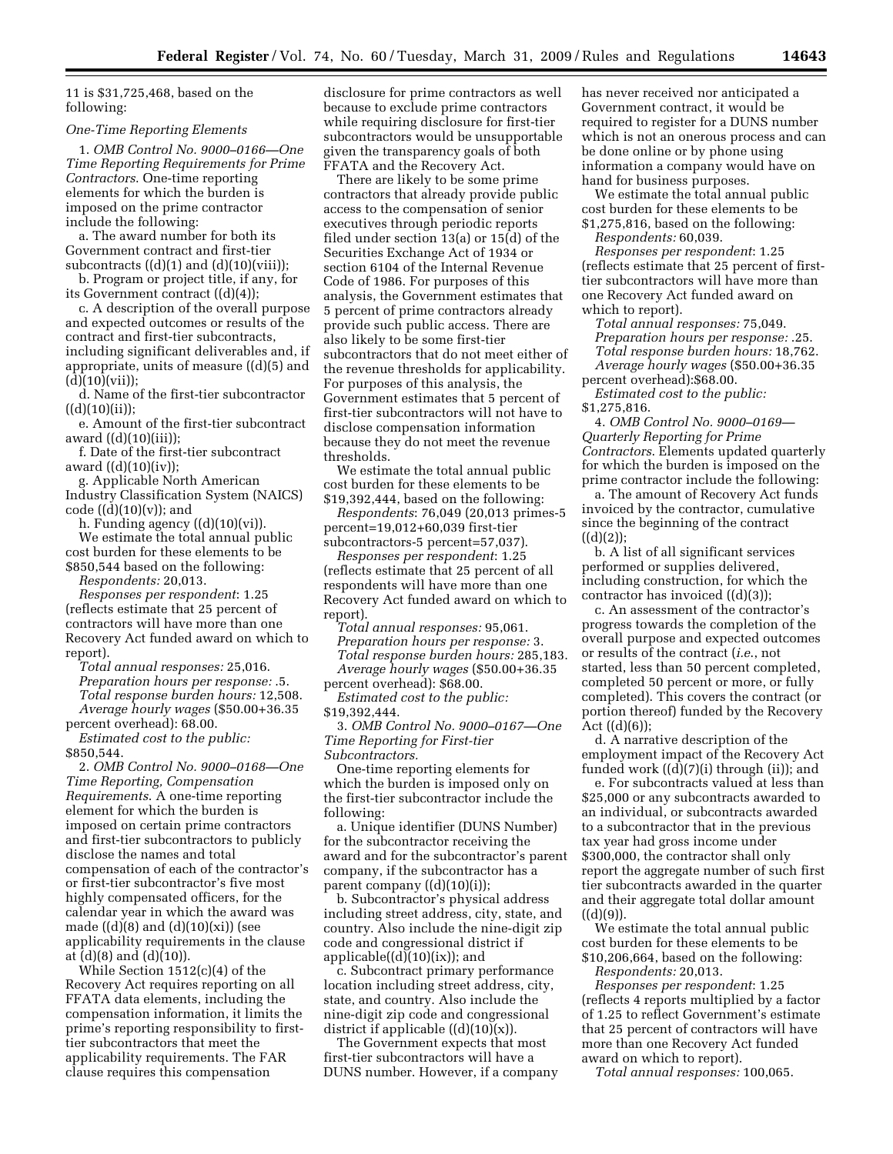11 is \$31,725,468, based on the following:

#### *One-Time Reporting Elements*

1. *OMB Control No. 9000–0166—One Time Reporting Requirements for Prime Contractors*. One-time reporting elements for which the burden is imposed on the prime contractor include the following:

a. The award number for both its Government contract and first-tier subcontracts  $((d)(1)$  and  $(d)(10)(viii)$ ;

b. Program or project title, if any, for its Government contract ((d)(4));

c. A description of the overall purpose and expected outcomes or results of the contract and first-tier subcontracts, including significant deliverables and, if appropriate, units of measure ((d)(5) and  $(d)(10)(vii);$ 

d. Name of the first-tier subcontractor  $((d)(10)(ii));$ 

e. Amount of the first-tier subcontract award  $((d)(10)(iii));$ 

f. Date of the first-tier subcontract award  $((d)(10)(iv))$ ;

g. Applicable North American Industry Classification System (NAICS) code  $((d)(10)(v))$ ; and

h. Funding agency  $((d)(10)(vi))$ .

We estimate the total annual public cost burden for these elements to be \$850,544 based on the following: *Respondents:* 20,013.

*Responses per respondent*: 1.25 (reflects estimate that 25 percent of contractors will have more than one Recovery Act funded award on which to report).

*Total annual responses:* 25,016. *Preparation hours per response:* .5. *Total response burden hours:* 12,508. *Average hourly wages* (\$50.00+36.35

percent overhead): 68.00. *Estimated cost to the public:*  \$850,544.

2. *OMB Control No. 9000–0168—One Time Reporting, Compensation Requirements*. A one-time reporting element for which the burden is imposed on certain prime contractors and first-tier subcontractors to publicly disclose the names and total compensation of each of the contractor's or first-tier subcontractor's five most highly compensated officers, for the calendar year in which the award was made  $((d)(8)$  and  $(d)(10)(xi))$  (see applicability requirements in the clause at (d)(8) and (d)(10)).

While Section 1512(c)(4) of the Recovery Act requires reporting on all FFATA data elements, including the compensation information, it limits the prime's reporting responsibility to firsttier subcontractors that meet the applicability requirements. The FAR clause requires this compensation

disclosure for prime contractors as well because to exclude prime contractors while requiring disclosure for first-tier subcontractors would be unsupportable given the transparency goals of both FFATA and the Recovery Act.

There are likely to be some prime contractors that already provide public access to the compensation of senior executives through periodic reports filed under section 13(a) or 15(d) of the Securities Exchange Act of 1934 or section 6104 of the Internal Revenue Code of 1986. For purposes of this analysis, the Government estimates that 5 percent of prime contractors already provide such public access. There are also likely to be some first-tier subcontractors that do not meet either of the revenue thresholds for applicability. For purposes of this analysis, the Government estimates that 5 percent of first-tier subcontractors will not have to disclose compensation information because they do not meet the revenue thresholds.

We estimate the total annual public cost burden for these elements to be \$19,392,444, based on the following:

*Respondents*: 76,049 (20,013 primes-5 percent=19,012+60,039 first-tier subcontractors-5 percent=57,037).

*Responses per respondent*: 1.25 (reflects estimate that 25 percent of all respondents will have more than one Recovery Act funded award on which to report).

*Total annual responses:* 95,061. *Preparation hours per response:* 3. *Total response burden hours:* 285,183. *Average hourly wages* (\$50.00+36.35 percent overhead): \$68.00.

*Estimated cost to the public:*  \$19,392,444.

3. *OMB Control No. 9000–0167—One Time Reporting for First-tier Subcontractors.* 

One-time reporting elements for which the burden is imposed only on the first-tier subcontractor include the following:

a. Unique identifier (DUNS Number) for the subcontractor receiving the award and for the subcontractor's parent company, if the subcontractor has a parent company ((d)(10)(i));

b. Subcontractor's physical address including street address, city, state, and country. Also include the nine-digit zip code and congressional district if applicable((d)(10)(ix)); and

c. Subcontract primary performance location including street address, city, state, and country. Also include the nine-digit zip code and congressional district if applicable  $((d)(10)(x))$ .

The Government expects that most first-tier subcontractors will have a DUNS number. However, if a company has never received nor anticipated a Government contract, it would be required to register for a DUNS number which is not an onerous process and can be done online or by phone using information a company would have on hand for business purposes.

We estimate the total annual public cost burden for these elements to be \$1,275,816, based on the following:

*Respondents:* 60,039. *Responses per respondent*: 1.25

(reflects estimate that 25 percent of firsttier subcontractors will have more than one Recovery Act funded award on which to report).

*Total annual responses:* 75,049. *Preparation hours per response:* .25. *Total response burden hours:* 18,762. *Average hourly wages* (\$50.00+36.35 percent overhead):\$68.00.

*Estimated cost to the public:*  \$1,275,816.

4. *OMB Control No. 9000–0169— Quarterly Reporting for Prime Contractors*. Elements updated quarterly for which the burden is imposed on the prime contractor include the following:

a. The amount of Recovery Act funds invoiced by the contractor, cumulative since the beginning of the contract  $((d)(2));$ 

b. A list of all significant services performed or supplies delivered, including construction, for which the contractor has invoiced ((d)(3));

c. An assessment of the contractor's progress towards the completion of the overall purpose and expected outcomes or results of the contract (*i.e*., not started, less than 50 percent completed, completed 50 percent or more, or fully completed). This covers the contract (or portion thereof) funded by the Recovery Act  $((d)(6))$ ;

d. A narrative description of the employment impact of the Recovery Act funded work ((d)(7)(i) through (ii)); and

e. For subcontracts valued at less than \$25,000 or any subcontracts awarded to an individual, or subcontracts awarded to a subcontractor that in the previous tax year had gross income under \$300,000, the contractor shall only report the aggregate number of such first tier subcontracts awarded in the quarter and their aggregate total dollar amount ((d)(9)).

We estimate the total annual public cost burden for these elements to be \$10,206,664, based on the following: *Respondents:* 20,013.

*Responses per respondent*: 1.25 (reflects 4 reports multiplied by a factor of 1.25 to reflect Government's estimate that 25 percent of contractors will have more than one Recovery Act funded award on which to report).

*Total annual responses:* 100,065.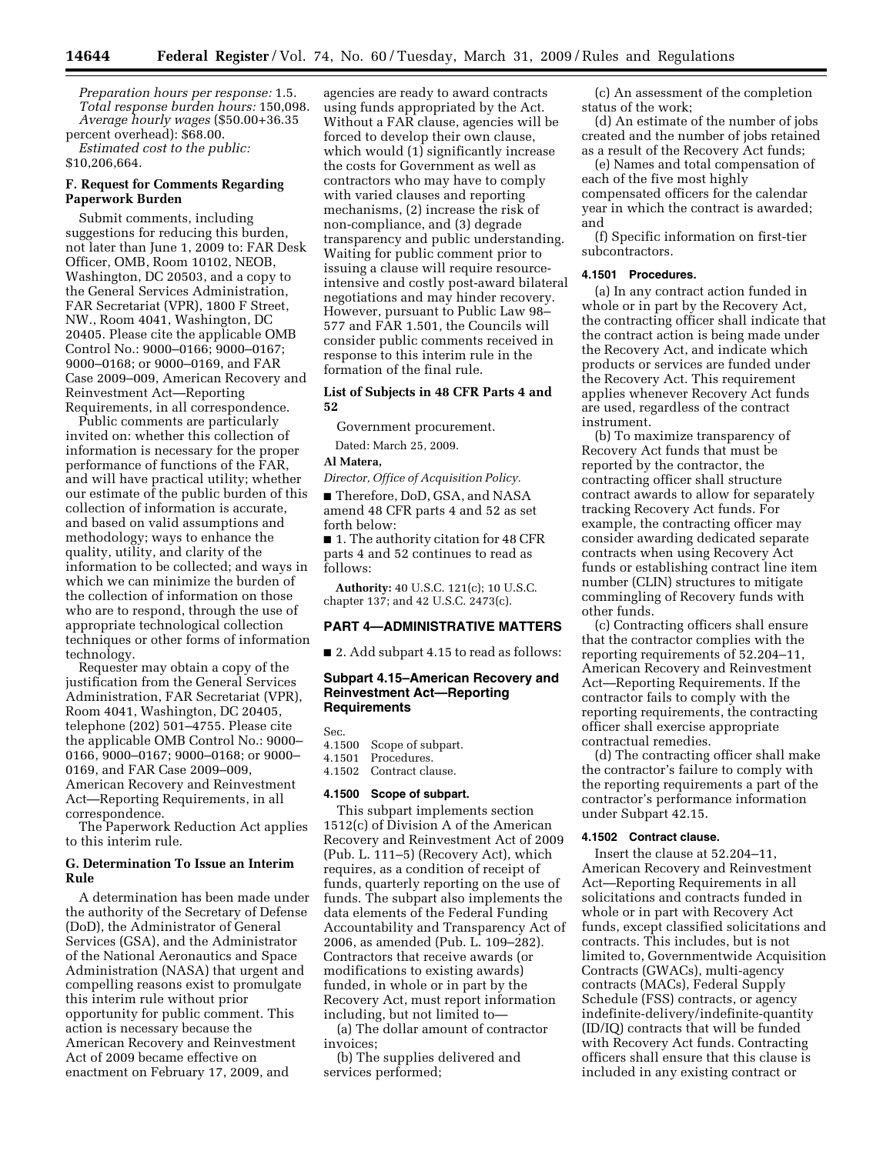*Preparation hours per response:* 1.5. *Total response burden hours:* 150,098. *Average hourly wages* (\$50.00+36.35 percent overhead): \$68.00.

*Estimated cost to the public:*  \$10,206,664.

#### **F. Request for Comments Regarding Paperwork Burden**

Submit comments, including suggestions for reducing this burden, not later than June 1, 2009 to: FAR Desk Officer, OMB, Room 10102, NEOB, Washington, DC 20503, and a copy to the General Services Administration, FAR Secretariat (VPR), 1800 F Street, NW., Room 4041, Washington, DC 20405. Please cite the applicable OMB Control No.: 9000–0166; 9000–0167; 9000–0168; or 9000–0169, and FAR Case 2009–009, American Recovery and Reinvestment Act—Reporting Requirements, in all correspondence.

Public comments are particularly invited on: whether this collection of information is necessary for the proper performance of functions of the FAR, and will have practical utility; whether our estimate of the public burden of this collection of information is accurate, and based on valid assumptions and methodology; ways to enhance the quality, utility, and clarity of the information to be collected; and ways in which we can minimize the burden of the collection of information on those who are to respond, through the use of appropriate technological collection techniques or other forms of information technology.

Requester may obtain a copy of the justification from the General Services Administration, FAR Secretariat (VPR), Room 4041, Washington, DC 20405, telephone (202) 501–4755. Please cite the applicable OMB Control No.: 9000– 0166, 9000–0167; 9000–0168; or 9000– 0169, and FAR Case 2009–009, American Recovery and Reinvestment Act—Reporting Requirements, in all correspondence.

The Paperwork Reduction Act applies to this interim rule.

# **G. Determination To Issue an Interim Rule**

A determination has been made under the authority of the Secretary of Defense (DoD), the Administrator of General Services (GSA), and the Administrator of the National Aeronautics and Space Administration (NASA) that urgent and compelling reasons exist to promulgate this interim rule without prior opportunity for public comment. This action is necessary because the American Recovery and Reinvestment Act of 2009 became effective on enactment on February 17, 2009, and

agencies are ready to award contracts using funds appropriated by the Act. Without a FAR clause, agencies will be forced to develop their own clause, which would  $(1)$  significantly increase the costs for Government as well as contractors who may have to comply with varied clauses and reporting mechanisms, (2) increase the risk of non-compliance, and (3) degrade transparency and public understanding. Waiting for public comment prior to issuing a clause will require resourceintensive and costly post-award bilateral negotiations and may hinder recovery. However, pursuant to Public Law 98– 577 and FAR 1.501, the Councils will consider public comments received in response to this interim rule in the formation of the final rule.

# **List of Subjects in 48 CFR Parts 4 and 52**

Government procurement.

Dated: March 25, 2009.

#### **Al Matera,**

*Director, Office of Acquisition Policy.* 

■ Therefore, DoD, GSA, and NASA amend 48 CFR parts 4 and 52 as set forth below:

■ 1. The authority citation for 48 CFR parts 4 and 52 continues to read as follows:

**Authority:** 40 U.S.C. 121(c); 10 U.S.C. chapter 137; and 42 U.S.C. 2473(c).

#### **PART 4—ADMINISTRATIVE MATTERS**

■ 2. Add subpart 4.15 to read as follows:

## **Subpart 4.15–American Recovery and Reinvestment Act—Reporting Requirements**

Sec.

- 4.1500 Scope of subpart.
- 4.1501 Procedures.

# 4.1502 Contract clause.

#### **4.1500 Scope of subpart.**

This subpart implements section 1512(c) of Division A of the American Recovery and Reinvestment Act of 2009 (Pub. L. 111–5) (Recovery Act), which requires, as a condition of receipt of funds, quarterly reporting on the use of funds. The subpart also implements the data elements of the Federal Funding Accountability and Transparency Act of 2006, as amended (Pub. L. 109–282). Contractors that receive awards (or modifications to existing awards) funded, in whole or in part by the Recovery Act, must report information including, but not limited to—

(a) The dollar amount of contractor invoices;

(b) The supplies delivered and services performed;

(c) An assessment of the completion status of the work;

(d) An estimate of the number of jobs created and the number of jobs retained as a result of the Recovery Act funds;

(e) Names and total compensation of each of the five most highly compensated officers for the calendar year in which the contract is awarded; and

(f) Specific information on first-tier subcontractors.

#### **4.1501 Procedures.**

(a) In any contract action funded in whole or in part by the Recovery Act, the contracting officer shall indicate that the contract action is being made under the Recovery Act, and indicate which products or services are funded under the Recovery Act. This requirement applies whenever Recovery Act funds are used, regardless of the contract instrument.

(b) To maximize transparency of Recovery Act funds that must be reported by the contractor, the contracting officer shall structure contract awards to allow for separately tracking Recovery Act funds. For example, the contracting officer may consider awarding dedicated separate contracts when using Recovery Act funds or establishing contract line item number (CLIN) structures to mitigate commingling of Recovery funds with other funds.

(c) Contracting officers shall ensure that the contractor complies with the reporting requirements of 52.204–11, American Recovery and Reinvestment Act—Reporting Requirements. If the contractor fails to comply with the reporting requirements, the contracting officer shall exercise appropriate contractual remedies.

(d) The contracting officer shall make the contractor's failure to comply with the reporting requirements a part of the contractor's performance information under Subpart 42.15.

#### **4.1502 Contract clause.**

Insert the clause at 52.204–11, American Recovery and Reinvestment Act—Reporting Requirements in all solicitations and contracts funded in whole or in part with Recovery Act funds, except classified solicitations and contracts. This includes, but is not limited to, Governmentwide Acquisition Contracts (GWACs), multi-agency contracts (MACs), Federal Supply Schedule (FSS) contracts, or agency indefinite-delivery/indefinite-quantity (ID/IQ) contracts that will be funded with Recovery Act funds. Contracting officers shall ensure that this clause is included in any existing contract or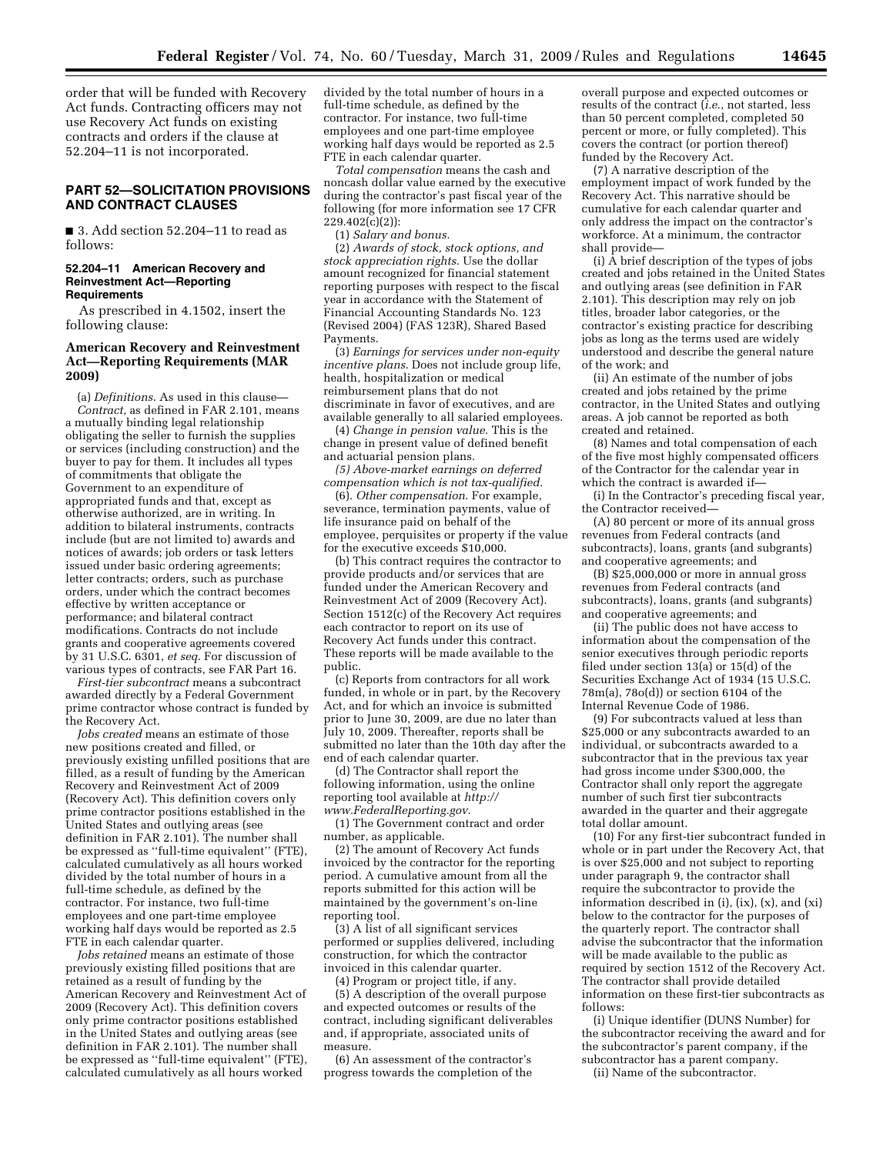order that will be funded with Recovery Act funds. Contracting officers may not use Recovery Act funds on existing contracts and orders if the clause at 52.204–11 is not incorporated.

# **PART 52—SOLICITATION PROVISIONS AND CONTRACT CLAUSES**

■ 3. Add section 52.204–11 to read as follows:

#### **52.204–11 American Recovery and Reinvestment Act—Reporting Requirements**

As prescribed in 4.1502, insert the following clause:

## **American Recovery and Reinvestment Act—Reporting Requirements (MAR 2009)**

(a) *Definitions*. As used in this clause— *Contract*, as defined in FAR 2.101, means a mutually binding legal relationship obligating the seller to furnish the supplies or services (including construction) and the buyer to pay for them. It includes all types of commitments that obligate the Government to an expenditure of appropriated funds and that, except as otherwise authorized, are in writing. In addition to bilateral instruments, contracts include (but are not limited to) awards and notices of awards; job orders or task letters issued under basic ordering agreements; letter contracts; orders, such as purchase orders, under which the contract becomes effective by written acceptance or performance; and bilateral contract modifications. Contracts do not include grants and cooperative agreements covered by 31 U.S.C. 6301, *et seq*. For discussion of various types of contracts, see FAR Part 16.

*First-tier subcontract* means a subcontract awarded directly by a Federal Government prime contractor whose contract is funded by the Recovery Act.

*Jobs created* means an estimate of those new positions created and filled, or previously existing unfilled positions that are filled, as a result of funding by the American Recovery and Reinvestment Act of 2009 (Recovery Act). This definition covers only prime contractor positions established in the United States and outlying areas (see definition in FAR 2.101). The number shall be expressed as ''full-time equivalent'' (FTE), calculated cumulatively as all hours worked divided by the total number of hours in a full-time schedule, as defined by the contractor. For instance, two full-time employees and one part-time employee working half days would be reported as 2.5 FTE in each calendar quarter.

*Jobs retained* means an estimate of those previously existing filled positions that are retained as a result of funding by the American Recovery and Reinvestment Act of 2009 (Recovery Act). This definition covers only prime contractor positions established in the United States and outlying areas (see definition in FAR 2.101). The number shall be expressed as ''full-time equivalent'' (FTE), calculated cumulatively as all hours worked

divided by the total number of hours in a full-time schedule, as defined by the contractor. For instance, two full-time employees and one part-time employee working half days would be reported as 2.5 FTE in each calendar quarter.

*Total compensation* means the cash and noncash dollar value earned by the executive during the contractor's past fiscal year of the following (for more information see 17 CFR 229.402(c)(2)):

(1) *Salary and bonus.* 

(2) *Awards of stock, stock options, and stock appreciation rights*. Use the dollar amount recognized for financial statement reporting purposes with respect to the fiscal year in accordance with the Statement of Financial Accounting Standards No. 123 (Revised 2004) (FAS 123R), Shared Based Payments.

(3) *Earnings for services under non-equity incentive plans*. Does not include group life, health, hospitalization or medical reimbursement plans that do not discriminate in favor of executives, and are available generally to all salaried employees.

(4) *Change in pension value*. This is the change in present value of defined benefit and actuarial pension plans.

*(5) Above-market earnings on deferred compensation which is not tax-qualified.* 

(6). *Other compensation*. For example, severance, termination payments, value of life insurance paid on behalf of the employee, perquisites or property if the value for the executive exceeds \$10,000.

(b) This contract requires the contractor to provide products and/or services that are funded under the American Recovery and Reinvestment Act of 2009 (Recovery Act). Section 1512(c) of the Recovery Act requires each contractor to report on its use of Recovery Act funds under this contract. These reports will be made available to the public.

(c) Reports from contractors for all work funded, in whole or in part, by the Recovery Act, and for which an invoice is submitted prior to June 30, 2009, are due no later than July 10, 2009. Thereafter, reports shall be submitted no later than the 10th day after the end of each calendar quarter.

(d) The Contractor shall report the following information, using the online reporting tool available at *http:// www.FederalReporting.gov*.

(1) The Government contract and order number, as applicable.

(2) The amount of Recovery Act funds invoiced by the contractor for the reporting period. A cumulative amount from all the reports submitted for this action will be maintained by the government's on-line reporting tool.

(3) A list of all significant services performed or supplies delivered, including construction, for which the contractor invoiced in this calendar quarter.

(4) Program or project title, if any.

(5) A description of the overall purpose and expected outcomes or results of the contract, including significant deliverables and, if appropriate, associated units of measure.

(6) An assessment of the contractor's progress towards the completion of the overall purpose and expected outcomes or results of the contract (*i.e*., not started, less than 50 percent completed, completed 50 percent or more, or fully completed). This covers the contract (or portion thereof) funded by the Recovery Act.

(7) A narrative description of the employment impact of work funded by the Recovery Act. This narrative should be cumulative for each calendar quarter and only address the impact on the contractor's workforce. At a minimum, the contractor shall provide—

(i) A brief description of the types of jobs created and jobs retained in the United States and outlying areas (see definition in FAR 2.101). This description may rely on job titles, broader labor categories, or the contractor's existing practice for describing jobs as long as the terms used are widely understood and describe the general nature of the work; and

(ii) An estimate of the number of jobs created and jobs retained by the prime contractor, in the United States and outlying areas. A job cannot be reported as both created and retained.

(8) Names and total compensation of each of the five most highly compensated officers of the Contractor for the calendar year in which the contract is awarded if—

(i) In the Contractor's preceding fiscal year, the Contractor received—

(A) 80 percent or more of its annual gross revenues from Federal contracts (and subcontracts), loans, grants (and subgrants) and cooperative agreements; and

 $(B)$  \$25,000,000 or more in annual gross revenues from Federal contracts (and subcontracts), loans, grants (and subgrants) and cooperative agreements; and

(ii) The public does not have access to information about the compensation of the senior executives through periodic reports filed under section 13(a) or 15(d) of the Securities Exchange Act of 1934 (15 U.S.C. 78m(a), 78o(d)) or section 6104 of the Internal Revenue Code of 1986.

(9) For subcontracts valued at less than \$25,000 or any subcontracts awarded to an individual, or subcontracts awarded to a subcontractor that in the previous tax year had gross income under \$300,000, the Contractor shall only report the aggregate number of such first tier subcontracts awarded in the quarter and their aggregate total dollar amount.

(10) For any first-tier subcontract funded in whole or in part under the Recovery Act, that is over \$25,000 and not subject to reporting under paragraph 9, the contractor shall require the subcontractor to provide the information described in  $(i)$ ,  $(ix)$ ,  $(x)$ , and  $(xi)$ below to the contractor for the purposes of the quarterly report. The contractor shall advise the subcontractor that the information will be made available to the public as required by section 1512 of the Recovery Act. The contractor shall provide detailed information on these first-tier subcontracts as follows:

(i) Unique identifier (DUNS Number) for the subcontractor receiving the award and for the subcontractor's parent company, if the subcontractor has a parent company.

(ii) Name of the subcontractor.